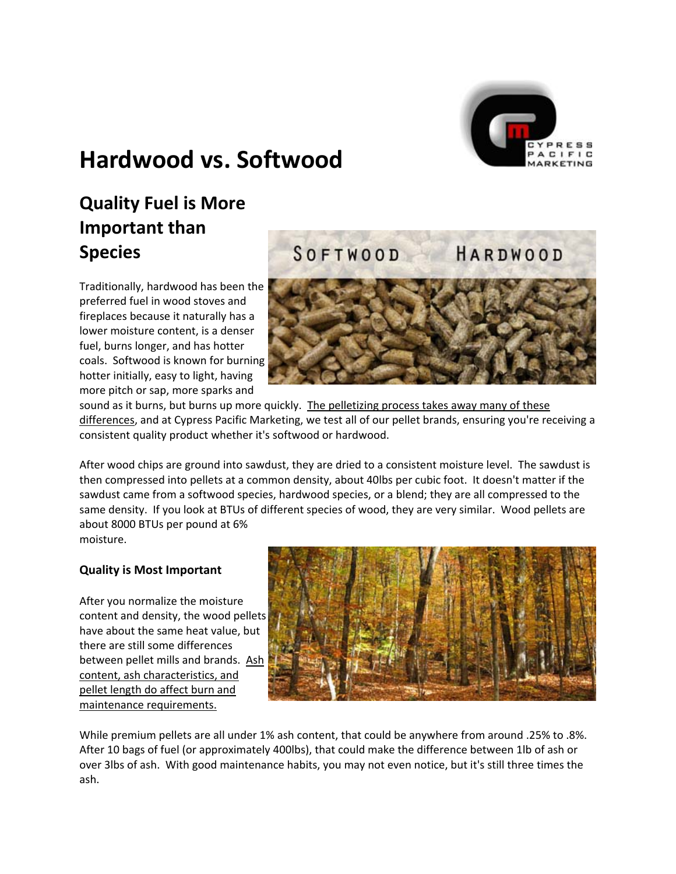

# **Hardwood vs. Softwood**

## **Quality Fuel is More Important than Species**

Traditionally, hardwood has been the preferred fuel in wood stoves and fireplaces because it naturally has a lower moisture content, is a denser fuel, burns longer, and has hotter coals. Softwood is known for burning hotter initially, easy to light, having more pitch or sap, more sparks and



sound as it burns, but burns up more quickly. The pelletizing process takes away many of these differences, and at Cypress Pacific Marketing, we test all of our pellet brands, ensuring you're receiving a consistent quality product whether it's softwood or hardwood.

same density. If you look at BTUs of different species of wood, they are very similar. Wood pellets are about 8000 BTUs per pound at 6% After wood chips are ground into sawdust, they are dried to a consistent moisture level. The sawdust is then compressed into pellets at a common density, about 40lbs per cubic foot. It doesn't matter if the sawdust came from a softwood species, hardwood species, or a blend; they are all compressed to the

moisture.

## **Quality is Most Important**

content and density, the wood pellets between pellet mills and brands. Ash After you normalize the moisture have about the same heat value, but there are still some differences content, ash characteristics, and pellet length do affect burn and maintenance requirements.



While premium pellets are all under 1% ash content, that could be anywhere from around .25% to .8%. After 10 bags of fuel (or approximately 400lbs), that could make the difference between 1lb of ash or over 3lbs of ash. With good maintenance habits, you may not even notice, but it's still three times the ash.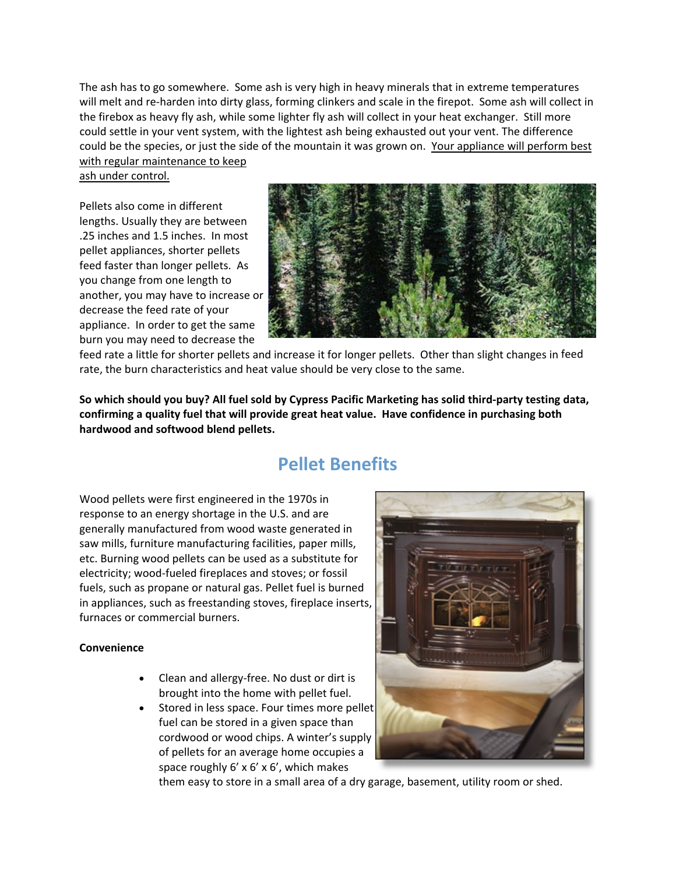The ash has to go somewhere. Some ash is very high in heavy minerals that in extreme temperatures will melt and re-harden into dirty glass, forming clinkers and scale in the firepot. Some ash will collect in the firebox as heavy fly ash, while some lighter fly ash will collect in your heat exchanger. Still more could settle in your vent system, with the lightest ash being exhausted out your vent. The difference could be the species, or just the side of the mountain it was grown on. Your appliance will perform best with regular maintenance to keep

ash under control.

.25 inches and 1.5 inches. In most appliance. In order to get the same burn you may need to decrease the Pellets also come in different lengths. Usually they are between pellet appliances, shorter pellets feed faster than longer pellets. As you change from one length to another, you may have to increase or decrease the feed rate of your



feed feed rate a little for shorter pellets and increase it for longer pellets. Other than slight changes in rate, the burn characteristics and heat value should be very close to the same.

So which should you buy? All fuel sold by Cypress Pacific Marketing has solid third-party testing data, **confirming a quality fuel that will provide great heat value. Have confidence in purchasing both hardwood and softwood blend pellets.**

## **Pellet Benefits**

in appliances, such as freestanding stoves, fireplace inserts, furnaces or commercial burners. Wood pellets were first engineered in the 1970s in response to an energy shortage in the U.S. and are generally manufactured from wood waste generated in saw mills, furniture manufacturing facilities, paper mills, etc. Burning wood pellets can be used as a substitute for electricity; wood‐fueled fireplaces and stoves; or fossil fuels, such as propane or natural gas. Pellet fuel is burned

### **Convenience**

- Clean and allergy‐free. No dust or dirt is brought into the home with pellet fuel.
- Stored in less space. Four times more pellet fuel can be stored in a given space than cordwood or wood chips. A winter's supply of pellets for an average home occupies a space roughly 6' x 6' x 6', which makes



them easy to store in a small area of a dry garage, basement, utility room or shed.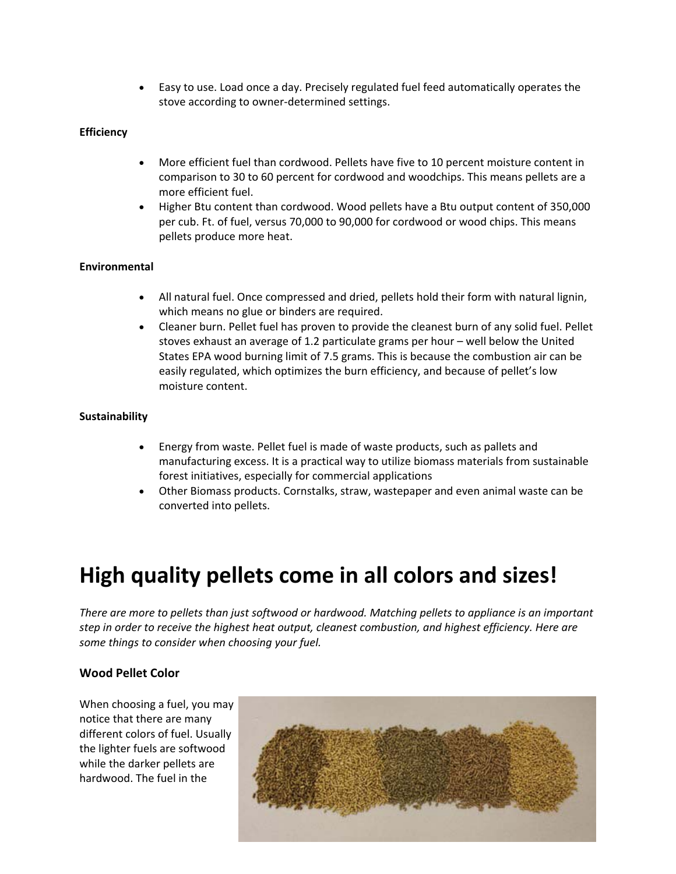• Easy to use. Load once a day. Precisely regulated fuel feed automatically operates the stove according to owner‐determined settings.

## **Efficiency**

- More efficient fuel than cordwood. Pellets have five to 10 percent moisture content in comparison to 30 to 60 percent for cordwood and woodchips. This means pellets are a more efficient fuel.
- Higher Btu content than cordwood. Wood pellets have a Btu output content of 350,000 per cub. Ft. of fuel, versus 70,000 to 90,000 for cordwood or wood chips. This means pellets produce more heat.

## **Environmental**

- All natural fuel. Once compressed and dried, pellets hold their form with natural lignin, which means no glue or binders are required.
- Cleaner burn. Pellet fuel has proven to provide the cleanest burn of any solid fuel. Pellet stoves exhaust an average of 1.2 particulate grams per hour – well below the United States EPA wood burning limit of 7.5 grams. This is because the combustion air can be easily regulated, which optimizes the burn efficiency, and because of pellet's low moisture content.

## **Sustainability**

- Energy from waste. Pellet fuel is made of waste products, such as pallets and manufacturing excess. It is a practical way to utilize biomass materials from sustainable forest initiatives, especially for commercial applications
- Other Biomass products. Cornstalks, straw, wastepaper and even animal waste can be converted into pellets.

# **High quality pellets come in all colors and sizes!**

*There are more to pellets than just softwood or hardwood. Matching pellets to appliance is an important step in order to receive the highest heat output, cleanest combustion, and highest efficiency. Here are some things to consider when choosing your fuel.*

## **Wood Pellet Color**

When choosing a fuel, you may notice that there are many different colors of fuel. Usually the lighter fuels are softwood while the darker pellets are hardwood. The fuel in the

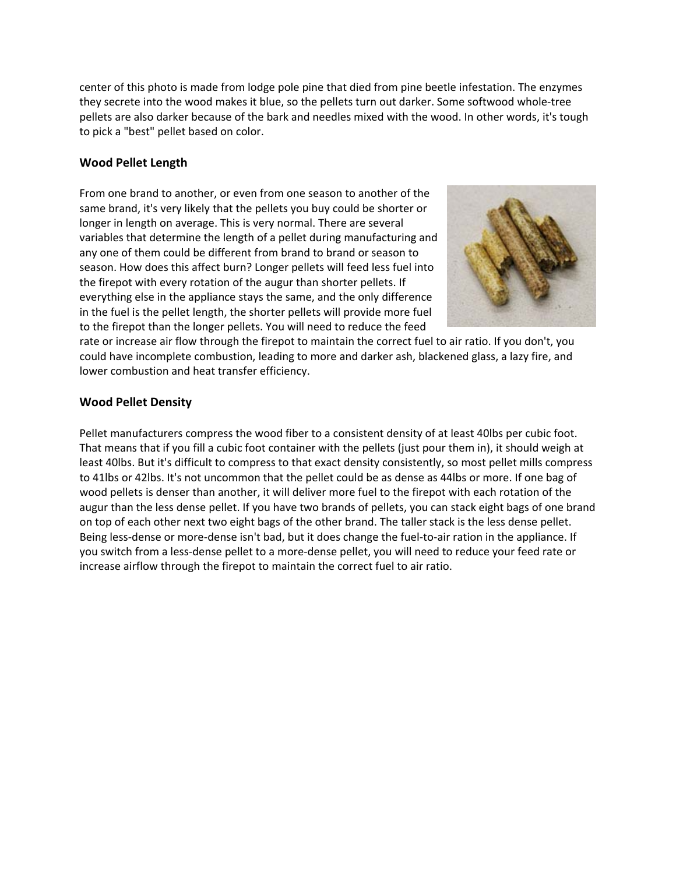center of this photo is made from lodge pole pine that died from pine beetle infestation. The enzyme s they secrete into the wood makes it blue, so the pellets turn out darker. Some softwood whole‐tree pellets are also darker because of the bark and needles mixed with the wood. In other words, it's tough to pick a "best" pellet based on color.

## **Wood Pellet Length**

From one brand to another, or even from one season to another of the same brand, it's very likely that the pellets you buy could be shorter or longer in length on average. This is very normal. There are several variables that determine the length of a pellet during manufacturing and any one of them could be different from brand to brand or season to season. How does this affect burn? Longer pellets will feed less fuel into the firepot with every rotation of the augur than shorter pellets. If everything else in the appliance stays the same, and the only difference in the fuel is the pellet length, the shorter pellets will provide more fuel to the firepot than the longer pellets. You will need to reduce the feed



lower combustion and heat transfer efficiency. rate or increase air flow through the firepot to maintain the correct fuel to air ratio. If you don't, you could have incomplete combustion, leading to more and darker ash, blackened glass, a lazy fire, and

## **Wood Pellet Density**

Pellet manufacturers compress the wood fiber to a consistent density of at least 40lbs per cubic foot. That means that if you fill a cubic foot container with the pellets (just pour them in), it should weigh at least 40lbs. But it's difficult to compress to that exact density consistently, so most pellet mills compress to 41lbs or 42lbs. It's not uncommon that the pellet could be as dense as 44lbs or more. If one bag of wood pellets is denser than another, it will deliver more fuel to the firepot with each rotation of the augur than the less dense pellet. If you have two brands of pellets, you can stack eight bags of one brand on top of each other next two eight bags of the other brand. The taller stack is the less dense pellet. Being less-dense or more-dense isn't bad, but it does change the fuel-to-air ration in the appliance. If you switch from a less‐dense pellet to a more‐dense pellet, you will need to reduce your feed rate or increase airflow through the firepot to maintain the correct fuel to air ratio.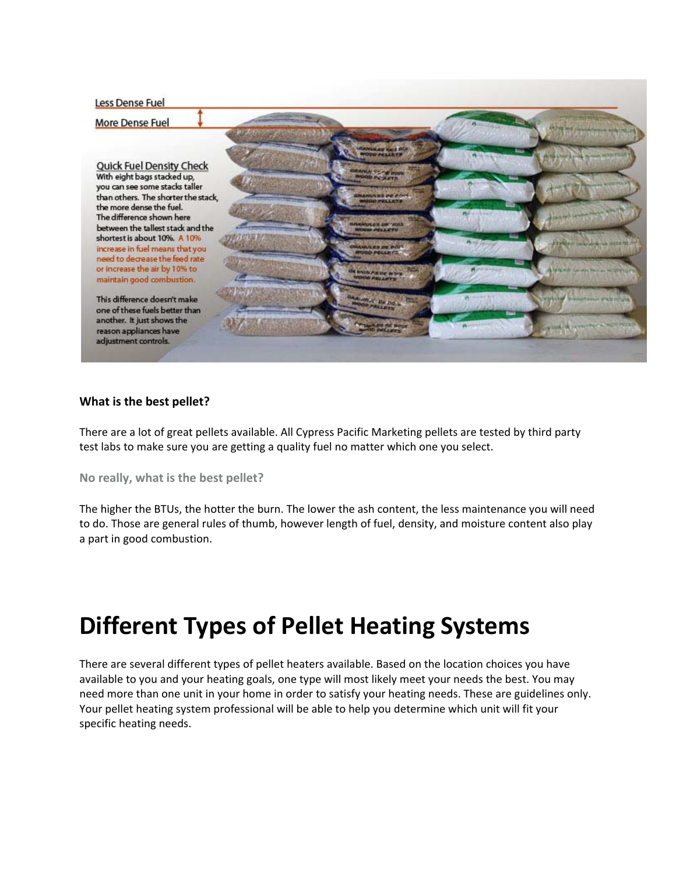#### Less Dense Fuel

More Dense Fuel

**Quick Fuel Density Check** With eight bags stacked up, you can see some stacks taller than others. The shorter the stack, the more dense the fuel. The difference shown here between the tallest stack and the shortest is about 10%. A 10% increase in fuel means that you need to decrease the feed rate or increase the air by 10% to maintain good combustion.

This difference doesn't make one of these fuels better than another. It just shows the reason appliances have adjustment controls.



### **What is the best pellet?**

There are a lot of great pellets available. All Cypress Pacific Marketing pellets are tested by third party test labs to make sure you are getting a quality fuel no matter which one you select.

**No really, what is the best pellet?**

The higher the BTUs, the hotter the burn. The lower the ash content, the less maintenance you will need to do. Those are general rules of thumb, however length of fuel, density, and moisture content also play a part in good combustion.

# **Different Types of Pellet Heating Systems**

There are several different types of pellet heaters available. Based on the location choices you have available to you and your heating goals, one type will most likely meet your needs the best. You may need more than one unit in your home in order to satisfy your heating needs. These are guidelines only. Your pellet heating system professional will be able to help you determine which unit will fit your specific heating needs.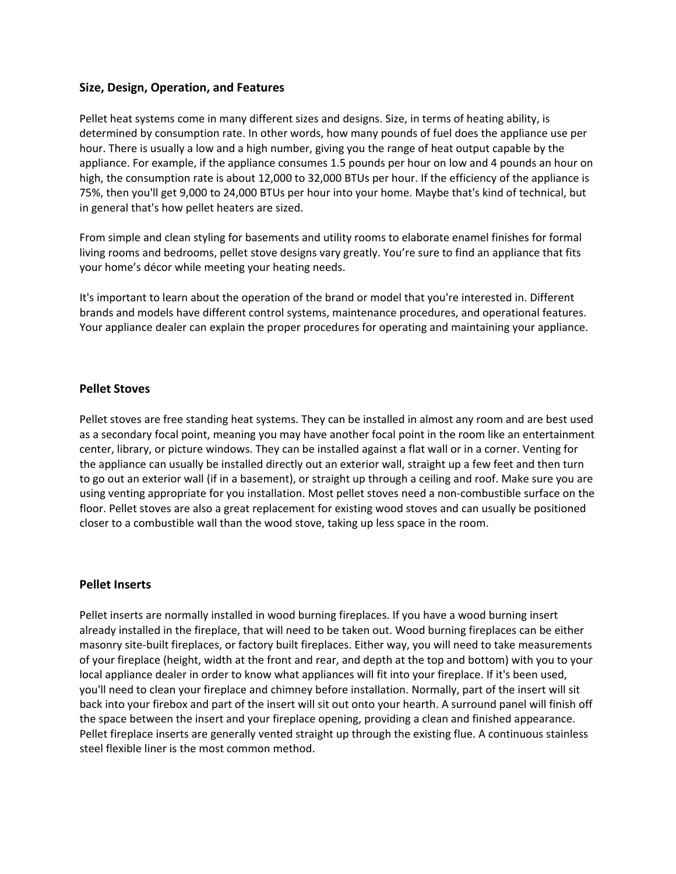### **Size, Design, Operation, and Features**

Pellet heat systems come in many different sizes and designs. Size, in terms of heating ability, is determined by consumption rate. In other words, how many pounds of fuel does the appliance use per hour. There is usually a low and a high number, giving you the range of heat output capable by the appliance. For example, if the appliance consumes 1.5 pounds per hour on low and 4 pounds an hour on high, the consumption rate is about 12,000 to 32,000 BTUs per hour. If the efficiency of the appliance is 75%, then you'll get 9,000 to 24,000 BTUs per hour into your home. Maybe that's kind of technical, but in general that's how pellet heaters are sized.

From simple and clean styling for basements and utility rooms to elaborate enamel finishes for formal living rooms and bedrooms, pellet stove designs vary greatly. You're sure to find an appliance that fits your home's décor while meeting your heating needs.

It's important to learn about the operation of the brand or model that you're interested in. Different brands and models have different control systems, maintenance procedures, and operational features. Your appliance dealer can explain the proper procedures for operating and maintaining your appliance.

#### **Pellet Stoves**

Pellet stoves are free standing heat systems. They can be installed in almost any room and are best used as a secondary focal point, meaning you may have another focal point in the room like an entertainment center, library, or picture windows. They can be installed against a flat wall or in a corner. Venting for the appliance can usually be installed directly out an exterior wall, straight up a few feet and then turn to go out an exterior wall (if in a basement), or straight up through a ceiling and roof. Make sure you are using venting appropriate for you installation. Most pellet stoves need a non‐combustible surface on the floor. Pellet stoves are also a great replacement for existing wood stoves and can usually be positioned closer to a combustible wall than the wood stove, taking up less space in the room.

#### **Pellet Inserts**

Pellet inserts are normally installed in wood burning fireplaces. If you have a wood burning insert already installed in the fireplace, that will need to be taken out. Wood burning fireplaces can be either masonry site‐built fireplaces, or factory built fireplaces. Either way, you will need to take measurements of your fireplace (height, width at the front and rear, and depth at the top and bottom) with you to your local appliance dealer in order to know what appliances will fit into your fireplace. If it's been used, you'll need to clean your fireplace and chimney before installation. Normally, part of the insert will sit back into your firebox and part of the insert will sit out onto your hearth. A surround panel will finish off the space between the insert and your fireplace opening, providing a clean and finished appearance. Pellet fireplace inserts are generally vented straight up through the existing flue. A continuous stainless steel flexible liner is the most common method.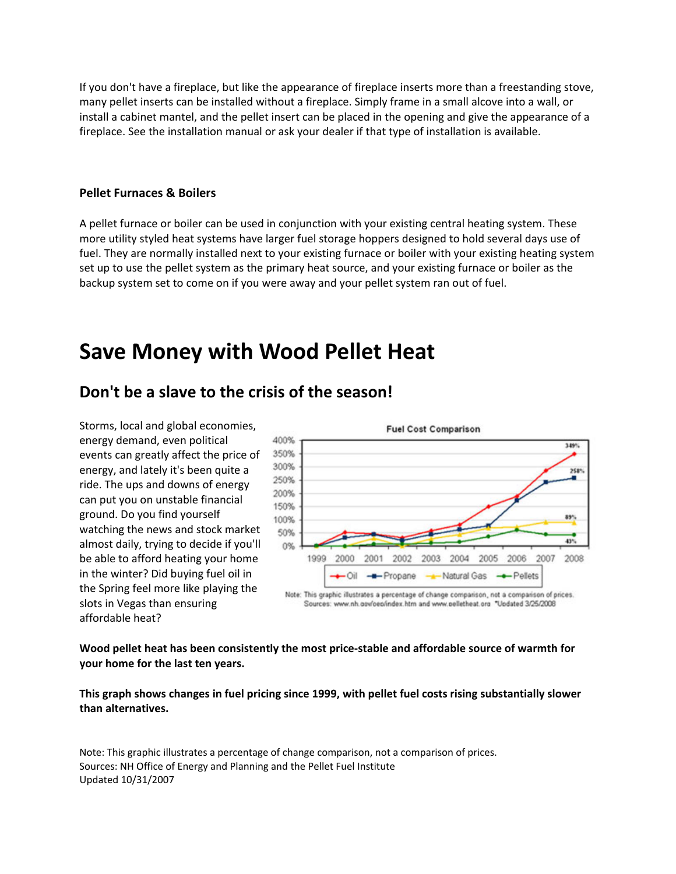If you don't have a fireplace, but like the appearance of fireplace inserts more than a freestanding stove, many pellet inserts can be installed without a fireplace. Simply frame in a small alcove into a wall, or install a cabinet mantel, and the pellet insert can be placed in the opening and give the appearance of a fireplace. See the installation manual or ask your dealer if that type of installation is available.

#### **Pellet Furnaces & Boilers**

A pellet furnace or boiler can be used in conjunction with your existing central heating system. These more utility styled heat systems have larger fuel storage hoppers designed to hold several days use of fuel. They are normally installed next to your existing furnace or boiler with your existing heating system set up to use the pellet system as the primary heat source, and your existing furnace or boiler as the backup system set to come on if you were away and your pellet system ran out of fuel.

## **Save Money with Wood Pellet Heat**

## **Don't be a slave to the crisis of the season!**

Storms, local and global economies, energy demand, even political events can greatly affect the price of energy, and lately it's been quite a ride. The ups and downs of energy can put you on unstable financial ground. Do you find yourself watching the news and stock market almost daily, trying to decide if yo u'll be able to afford heating your home in the winter? Did buying fuel oil in the Spring feel more like playing the slots in Vegas than ensurin g affordable heat?



**ently the most price‐stable and affordable source of warmth for Wood pellet heat has been consist your home for the last ten years.**

**hanges in fuel pricing since 1999, with pellet fuel costs rising substantially slower This graph shows c than alternatives.**

Note: This graphic illustrates a percentage of change comparison, not a comparison of prices. Sources: NH Office of Energy and Planning and the Pellet Fuel Institute Updated 10/31/2007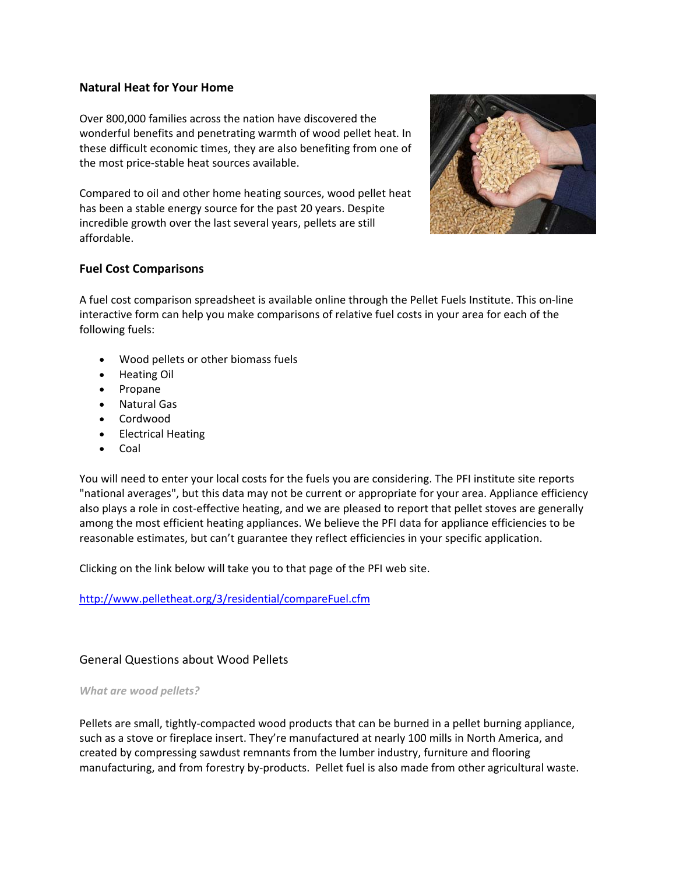## **Natural Heat for Your Home**

Over 800,000 families across the nation have discovered the wonderful benefits and penetrating warmth of wood pellet heat. In these difficult economic times, they are also benefiting from one of the most price‐stable heat sources available.

affordable. Compared to oil and other home heating sources, wood pellet heat has been a stable energy source for the past 20 years. Despite incredible growth over the last several years, pellets are still



## **Fuel Cost Comparisons**

A fuel cost comparison spreadsheet is available online through the Pellet Fuels Institute. This on-line interactive form can help you make comparisons of relative fuel costs in your area for each of the following fuels:

- Wood pellets or other biomass fuels
- Heating Oil
- Propane
- Natural Gas
- Cordwood
- Electrical Heating
- Coal

among the most efficient heating appliances. We believe the PFI data for appliance efficiencies to be reasonable estimates, but can't guarantee they reflect efficiencies in your specific application. You will need to enter your local costs for the fuels you are considering. The PFI institute site reports "national averages", but this data may not be current or appropriate for your area. Appliance efficiency also plays a role in cost-effective heating, and we are pleased to report that pellet stoves are generally

Clicking on the link below will take you to that page of the PFI web site.

## http://www.pelletheat.org/3/residential/compareFuel.cfm

## General Questions about Wood Pellets

#### *What are wood pellets?*

Pellets are small, tightly-compacted wood products that can be burned in a pellet burning appliance, such as a stove or fireplace insert. They're manufactured at nearly 100 mills in North America, and manufacturing, and from forestry by-products. Pellet fuel is also made from other agricultural waste. created by compressing sawdust remnants from the lumber industry, furniture and flooring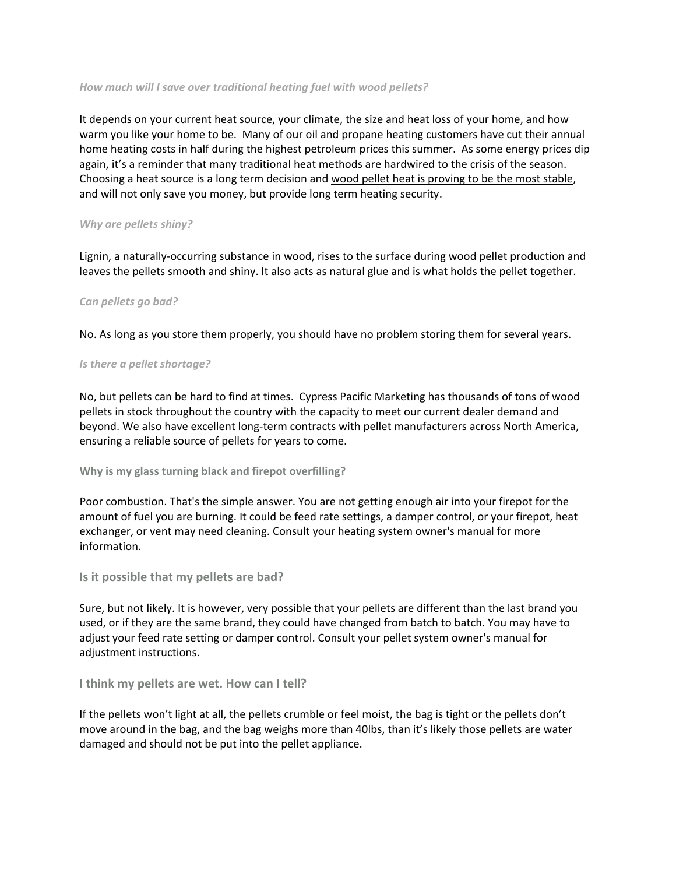#### *How much will I save over traditional heating fuel with wood pellets?*

It depends on your current heat source, your climate, the size and heat loss of your home, and how warm you like your home to be. Many of our oil and propane heating customers have cut their annual home heating costs in half during the highest petroleum prices this summer. As some energy prices dip again, it's a reminder that many traditional heat methods are hardwired to the crisis of the season. Choosing a heat source is a long term decision and wood pellet heat is proving to be the most stable, and will not only save you money, but provide long term heating security.

#### *Why are pellets shiny?*

Lignin, a naturally‐occurring substance in wood, rises to the surface during wood pellet production and leaves the pellets smooth and shiny. It also acts as natural glue and is what holds the pellet together.

#### *Can pellets go bad?*

No. As long as you store them properly, you should have no problem storing them for several years.

#### *Is there a pellet shortage?*

No, but pellets can be hard to find at times. Cypress Pacific Marketing has thousands of tons of wood pellets in stock throughout the country with the capacity to meet our current dealer demand and beyond. We also have excellent long-term contracts with pellet manufacturers across North America, ensuring a reliable source of pellets for years to come.

**Why is my glass turning black and firepot overfilling?**

Poor combustion. That's the simple answer. You are not getting enough air into your firepot for the amount of fuel you are burning. It could be feed rate settings, a damper control, or your firepot, heat exchanger, or vent may need cleaning. Consult your heating system owner's manual for more information.

### **Is it possible that my pellets are bad?**

Sure, but not likely. It is however, very possible that your pellets are different than the last brand you used, or if they are the same brand, they could have changed from batch to batch. You may have to adjust your feed rate setting or damper control. Consult your pellet system owner's manual for adjustment instructions.

### **I think my pellets are wet. How can I tell?**

If the pellets won't light at all, the pellets crumble or feel moist, the bag is tight or the pellets don't move around in the bag, and the bag weighs more than 40lbs, than it's likely those pellets are water damaged and should not be put into the pellet appliance.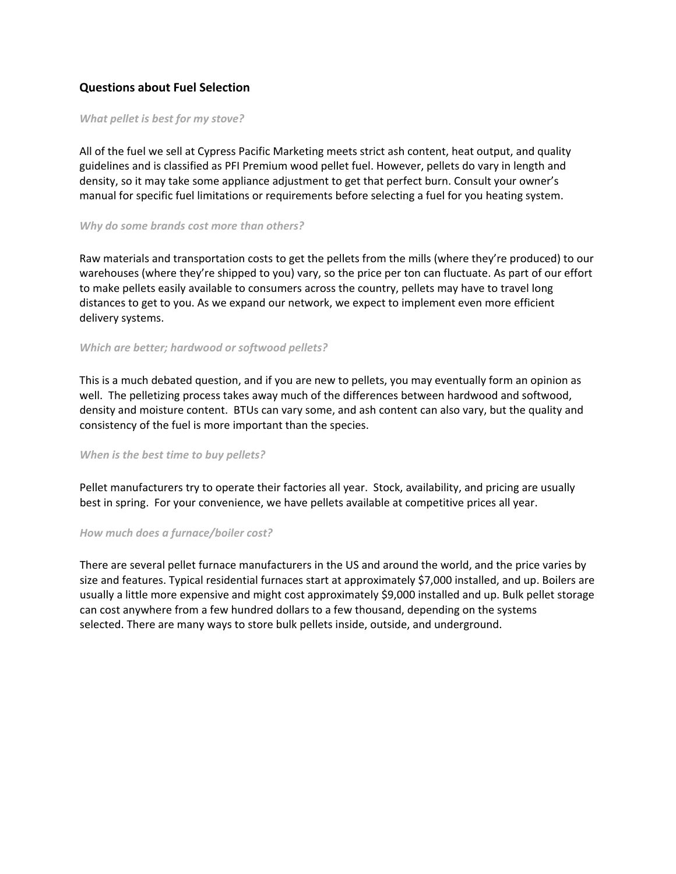## **Questions about Fuel Selection**

#### *What pellet is best for my stove?*

All of the fuel we sell at Cypress Pacific Marketing meets strict ash content, heat output, and quality guidelines and is classified as PFI Premium wood pellet fuel. However, pellets do vary in length and density, so it may take some appliance adjustment to get that perfect burn. Consult your owner's manual for specific fuel limitations or requirements before selecting a fuel for you heating system.

#### *Why do some brands cost more than others?*

Raw materials and transportation costs to get the pellets from the mills (where they're produced) to our warehouses (where they're shipped to you) vary, so the price per ton can fluctuate. As part of our effort to make pellets easily available to consumers across the country, pellets may have to travel long distances to get to you. As we expand our network, we expect to implement even more efficient delivery systems.

#### *Which are better; hardwood or softwood pellets?*

This is a much debated question, and if you are new to pellets, you may eventually form an opinion as well. The pelletizing process takes away much of the differences between hardwood and softwood, density and moisture content. BTUs can vary some, and ash content can also vary, but the quality and consistency of the fuel is more important than the species.

#### *When is the best time to buy pellets?*

Pellet manufacturers try to operate their factories all year. Stock, availability, and pricing are usually best in spring. For your convenience, we have pellets available at competitive prices all year.

#### *How much does a furnace/boiler cost?*

There are several pellet furnace manufacturers in the US and around the world, and the price varies by size and features. Typical residential furnaces start at approximately \$7,000 installed, and up. Boilers are usually a little more expensive and might cost approximately \$9,000 installed and up. Bulk pellet storage can cost anywhere from a few hundred dollars to a few thousand, depending on the systems selected. There are many ways to store bulk pellets inside, outside, and underground.